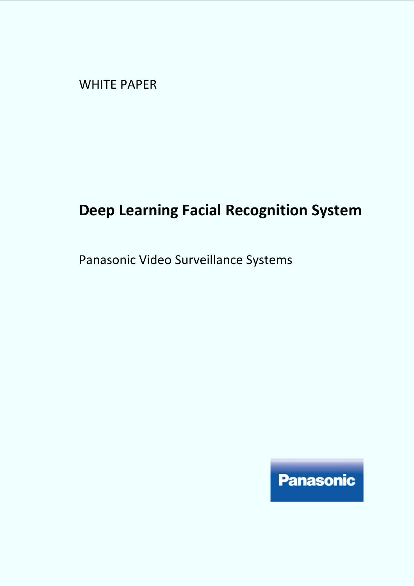WHITE PAPER

# **Deep Learning Facial Recognition System**

Panasonic Video Surveillance Systems

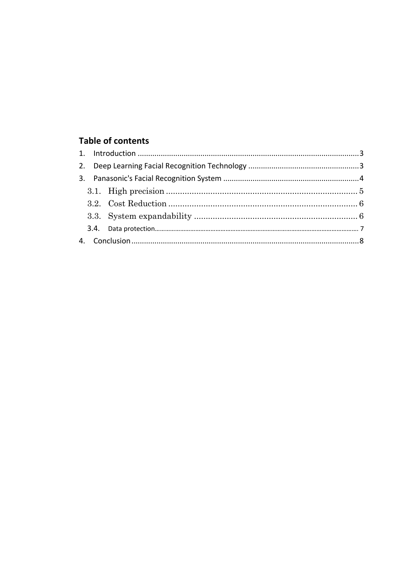# **Table of contents**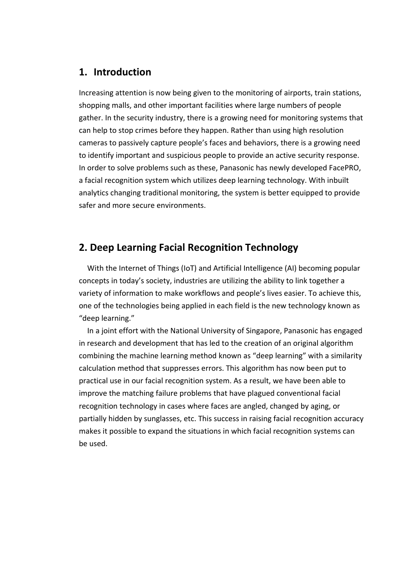# **1. Introduction**

Increasing attention is now being given to the monitoring of airports, train stations, shopping malls, and other important facilities where large numbers of people gather. In the security industry, there is a growing need for monitoring systems that can help to stop crimes before they happen. Rather than using high resolution cameras to passively capture people's faces and behaviors, there is a growing need to identify important and suspicious people to provide an active security response. In order to solve problems such as these, Panasonic has newly developed FacePRO, a facial recognition system which utilizes deep learning technology. With inbuilt analytics changing traditional monitoring, the system is better equipped to provide safer and more secure environments.

# **2. Deep Learning Facial Recognition Technology**

With the Internet of Things (IoT) and Artificial Intelligence (AI) becoming popular concepts in today's society, industries are utilizing the ability to link together a variety of information to make workflows and people's lives easier. To achieve this, one of the technologies being applied in each field is the new technology known as "deep learning."

In a joint effort with the National University of Singapore, Panasonic has engaged in research and development that has led to the creation of an original algorithm combining the machine learning method known as "deep learning" with a similarity calculation method that suppresses errors. This algorithm has now been put to practical use in our facial recognition system. As a result, we have been able to improve the matching failure problems that have plagued conventional facial recognition technology in cases where faces are angled, changed by aging, or partially hidden by sunglasses, etc. This success in raising facial recognition accuracy makes it possible to expand the situations in which facial recognition systems can be used.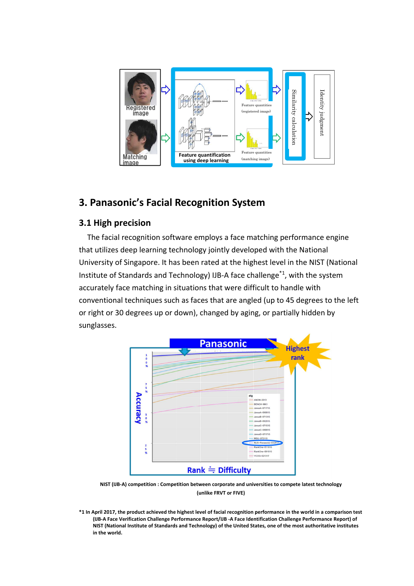

# **3. Panasonic's Facial Recognition System**

#### **3.1 High precision**

The facial recognition software employs a face matching performance engine that utilizes deep learning technology jointly developed with the National University of Singapore. It has been rated at the highest level in the NIST (National Institute of Standards and Technology) IJB-A face challenge\*1, with the system accurately face matching in situations that were difficult to handle with conventional techniques such as faces that are angled (up to 45 degrees to the left or right or 30 degrees up or down), changed by aging, or partially hidden by sunglasses.



**NIST (IJB-A) competition : Competition between corporate and universities to compete latest technology (unlike FRVT or FIVE)** 

**\*1 In April 2017, the product achieved the highest level of facial recognition performance in the world in a comparison test (IJB-A Face Verification Challenge Performance Report/IJB -A Face Identification Challenge Performance Report) of NIST (National Institute of Standards and Technology) of the United States, one of the most authoritative institutes in the world.**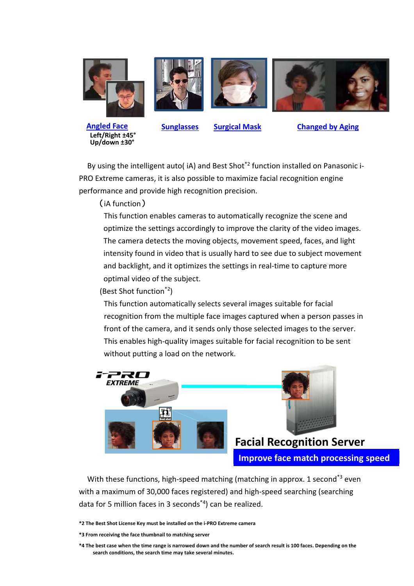





**Sunglasses Surgical Mask Changed by Aging**

By using the intelligent auto( iA) and Best Shot<sup>\*2</sup> function installed on Panasonic i-PRO Extreme cameras, it is also possible to maximize facial recognition engine performance and provide high recognition precision.

(iA function)

This function enables cameras to automatically recognize the scene and optimize the settings accordingly to improve the clarity of the video images. The camera detects the moving objects, movement speed, faces, and light intensity found in video that is usually hard to see due to subject movement and backlight, and it optimizes the settings in real-time to capture more optimal video of the subject.

(Best Shot function\*2)

This function automatically selects several images suitable for facial recognition from the multiple face images captured when a person passes in front of the camera, and it sends only those selected images to the server. This enables high-quality images suitable for facial recognition to be sent without putting a load on the network.





**Facial Recognition Server Improve face match processing speed**

With these functions, high-speed matching (matching in approx. 1 second<sup>\*3</sup> even with a maximum of 30,000 faces registered) and high-speed searching (searching data for 5 million faces in 3 seconds\*4) can be realized.

**\*2 The Best Shot License Key must be installed on the i-PRO Extreme camera** 

**\*3 From receiving the face thumbnail to matching server** 

**\*4 The best case when the time range is narrowed down and the number of search result is 100 faces. Depending on the search conditions, the search time may take several minutes.**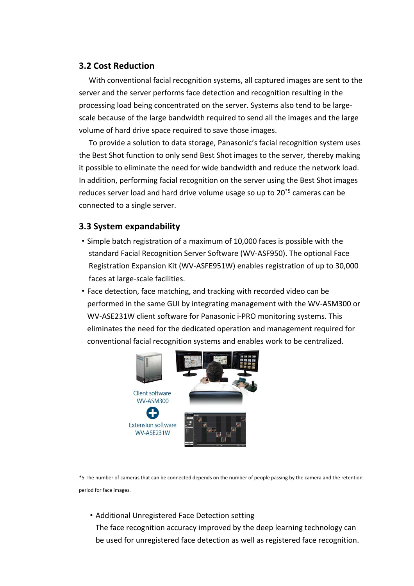#### **3.2 Cost Reduction**

With conventional facial recognition systems, all captured images are sent to the server and the server performs face detection and recognition resulting in the processing load being concentrated on the server. Systems also tend to be largescale because of the large bandwidth required to send all the images and the large volume of hard drive space required to save those images.

To provide a solution to data storage, Panasonic's facial recognition system uses the Best Shot function to only send Best Shot images to the server, thereby making it possible to eliminate the need for wide bandwidth and reduce the network load. In addition, performing facial recognition on the server using the Best Shot images reduces server load and hard drive volume usage so up to 20\*5 cameras can be connected to a single server.

### **3.3 System expandability**

- ・Simple batch registration of a maximum of 10,000 faces is possible with the standard Facial Recognition Server Software (WV-ASF950). The optional Face Registration Expansion Kit (WV-ASFE951W) enables registration of up to 30,000 faces at large-scale facilities.
- ・Face detection, face matching, and tracking with recorded video can be performed in the same GUI by integrating management with the WV-ASM300 or WV-ASE231W client software for Panasonic i-PRO monitoring systems. This eliminates the need for the dedicated operation and management required for conventional facial recognition systems and enables work to be centralized.



\*5 The number of cameras that can be connected depends on the number of people passing by the camera and the retention period for face images.

・Additional Unregistered Face Detection setting

The face recognition accuracy improved by the deep learning technology can be used for unregistered face detection as well as registered face recognition.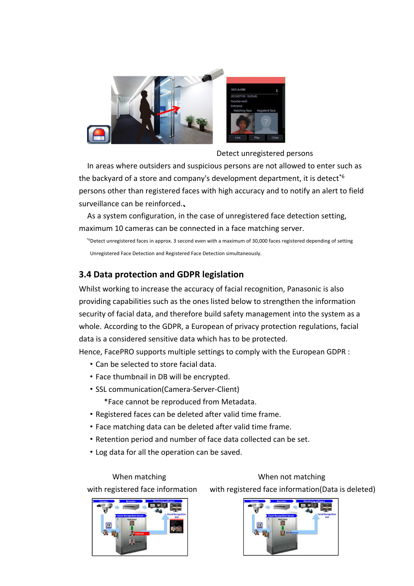

Detect unregistered persons

In areas where outsiders and suspicious persons are not allowed to enter such as the backyard of a store and company's development department, it is detect<sup>\*6</sup> persons other than registered faces with high accuracy and to notify an alert to field surveillance can be reinforced.、

As a system configuration, in the case of unregistered face detection setting, maximum 10 cameras can be connected in a face matching server.

\*6Detect unregistered faces in approx. 3 second even with a maximum of 30,000 faces registered depending of setting Unregistered Face Detection and Registered Face Detection simultaneously.

# **3.4 Data protection and GDPR legislation**

Whilst working to increase the accuracy of facial recognition, Panasonic is also providing capabilities such as the ones listed below to strengthen the information security of facial data, and therefore build safety management into the system as a whole. According to the GDPR, a European of privacy protection regulations, facial data is a considered sensitive data which has to be protected.

Hence, FacePRO supports multiple settings to comply with the European GDPR :

- ・Can be selected to store facial data.
- ・Face thumbnail in DB will be encrypted.
- ・SSL communication(Camera-Server-Client)
	- \*Face cannot be reproduced from Metadata.
- ・Registered faces can be deleted after valid time frame.
- ・Face matching data can be deleted after valid time frame.
- ・Retention period and number of face data collected can be set.
- ・Log data for all the operation can be saved.

When matching When not matching

with registered face information with registered face information(Data is deleted)